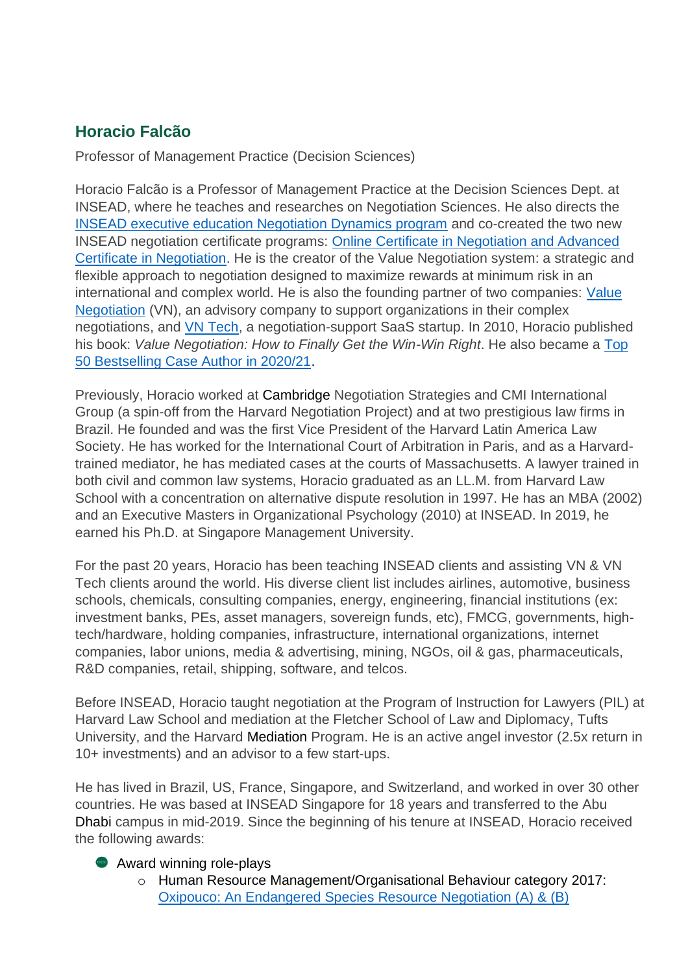## **Horacio Falcão**

Professor of Management Practice (Decision Sciences)

Horacio Falcão is a Professor of Management Practice at the Decision Sciences Dept. at INSEAD, where he teaches and researches on Negotiation Sciences. He also directs the [INSEAD executive education Negotiation Dynamics program](https://www.insead.edu/executive-education/marketing-sales/negotiation-dynamics) and co-created the two new INSEAD negotiation certificate programs: [Online Certificate in Negotiation and Advanced](https://www.insead.edu/executive-education/certificates-negotiation)  [Certificate in Negotiation.](https://www.insead.edu/executive-education/certificates-negotiation) He is the creator of the Value Negotiation system: a strategic and flexible approach to negotiation designed to maximize rewards at minimum risk in an international and complex world. He is also the founding partner of two companies: [Value](https://valuenegotiation.com/)  [Negotiation](https://valuenegotiation.com/) (VN), an advisory company to support organizations in their complex negotiations, and [VN Tech,](https://www.valuenegotiation.tech/) a negotiation-support SaaS startup. In 2010, Horacio published his book: *Value Negotiation: How to Finally Get the Win-Win Right*. He also became a [Top](https://www.thecasecentre.org/BestsellingAuthors/2021/36-HoracioFalcao)  [50 Bestselling Case Author in 2020/21.](https://www.thecasecentre.org/BestsellingAuthors/2021/36-HoracioFalcao)

Previously, Horacio worked at Cambridge Negotiation Strategies and CMI International Group (a spin-off from the Harvard Negotiation Project) and at two prestigious law firms in Brazil. He founded and was the first Vice President of the Harvard Latin America Law Society. He has worked for the International Court of Arbitration in Paris, and as a Harvardtrained mediator, he has mediated cases at the courts of Massachusetts. A lawyer trained in both civil and common law systems, Horacio graduated as an LL.M. from Harvard Law School with a concentration on alternative dispute resolution in 1997. He has an MBA (2002) and an Executive Masters in Organizational Psychology (2010) at INSEAD. In 2019, he earned his Ph.D. at Singapore Management University.

For the past 20 years, Horacio has been teaching INSEAD clients and assisting VN & VN Tech clients around the world. His diverse client list includes airlines, automotive, business schools, chemicals, consulting companies, energy, engineering, financial institutions (ex: investment banks, PEs, asset managers, sovereign funds, etc), FMCG, governments, hightech/hardware, holding companies, infrastructure, international organizations, internet companies, labor unions, media & advertising, mining, NGOs, oil & gas, pharmaceuticals, R&D companies, retail, shipping, software, and telcos.

Before INSEAD, Horacio taught negotiation at the Program of Instruction for Lawyers (PIL) at Harvard Law School and mediation at the Fletcher School of Law and Diplomacy, Tufts University, and the Harvard Mediation Program. He is an active angel investor (2.5x return in 10+ investments) and an advisor to a few start-ups.

He has lived in Brazil, US, France, Singapore, and Switzerland, and worked in over 30 other countries. He was based at INSEAD Singapore for 18 years and transferred to the Abu Dhabi campus in mid-2019. Since the beginning of his tenure at INSEAD, Horacio received the following awards:

## **Award winning role-plays**

o Human Resource Management/Organisational Behaviour category [2017:](https://www.thecasecentre.org/caseSpotlight/2017/Oxipouco)  [Oxipouco: An Endangered Species Resource Negotiation \(A\) & \(B\)](https://www.thecasecentre.org/caseSpotlight/2017/Oxipouco)